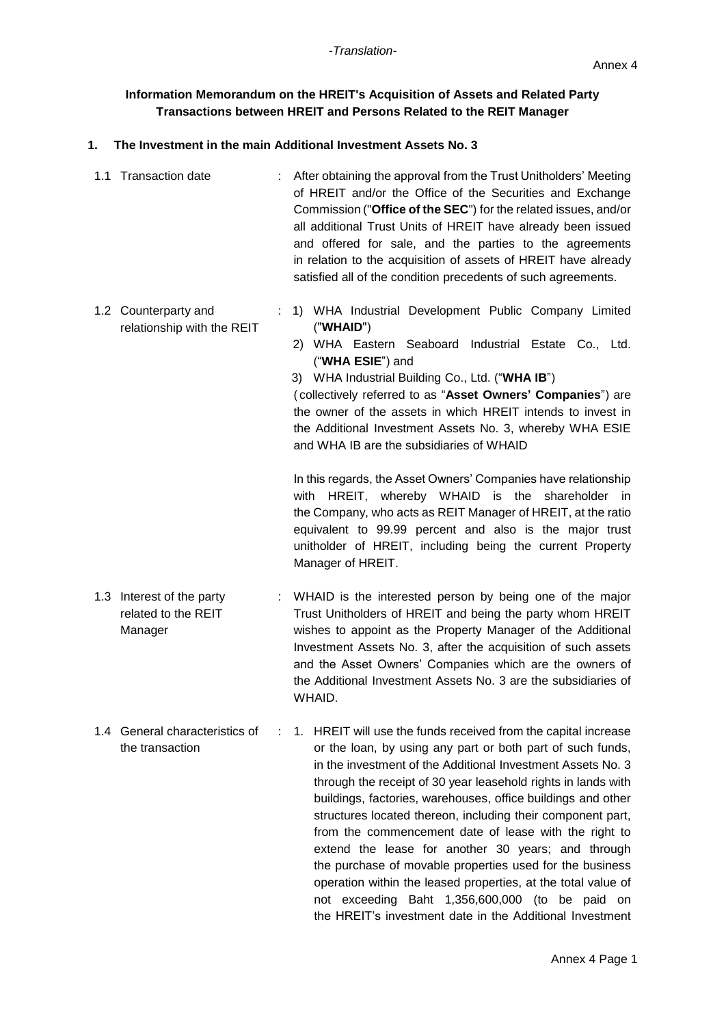# **Information Memorandum on the HREIT's Acquisition of Assets and Related Party Transactions between HREIT and Persons Related to the REIT Manager**

## **1. The Investment in the main Additional Investment Assets No. 3**

- 1.1 Transaction date : After obtaining the approval from the Trust Unitholders' Meeting of HREIT and/or the Office of the Securities and Exchange Commission ("**Office of the SEC**") for the related issues, and/or all additional Trust Units of HREIT have already been issued and offered for sale, and the parties to the agreements in relation to the acquisition of assets of HREIT have already satisfied all of the condition precedents of such agreements.
- 1.2 Counterparty and relationship with the REIT : 1) WHA Industrial Development Public Company Limited ("**WHAID**")
	- 2) WHA Eastern Seaboard Industrial Estate Co., Ltd. ("**WHA ESIE**") and

3) WHA Industrial Building Co., Ltd. ("**WHA IB**") ( collectively referred to as "**Asset Owners' Companies**") are the owner of the assets in which HREIT intends to invest in the Additional Investment Assets No. 3, whereby WHA ESIE and WHA IB are the subsidiaries of WHAID

In this regards, the Asset Owners' Companies have relationship with HREIT, whereby WHAID is the shareholder in the Company, who acts as REIT Manager of HREIT, at the ratio equivalent to 99.99 percent and also is the major trust unitholder of HREIT, including being the current Property Manager of HREIT.

- 1.3 Interest of the party related to the REIT Manager : WHAID is the interested person by being one of the major Trust Unitholders of HREIT and being the party whom HREIT wishes to appoint as the Property Manager of the Additional Investment Assets No. 3, after the acquisition of such assets and the Asset Owners' Companies which are the owners of the Additional Investment Assets No. 3 are the subsidiaries of WHAID.
- 1.4 General characteristics of the transaction : 1. HREIT will use the funds received from the capital increase or the loan, by using any part or both part of such funds, in the investment of the Additional Investment Assets No. 3 through the receipt of 30 year leasehold rights in lands with buildings, factories, warehouses, office buildings and other structures located thereon, including their component part, from the commencement date of lease with the right to extend the lease for another 30 years; and through the purchase of movable properties used for the business operation within the leased properties, at the total value of not exceeding Baht 1,356,600,000 (to be paid on the HREIT's investment date in the Additional Investment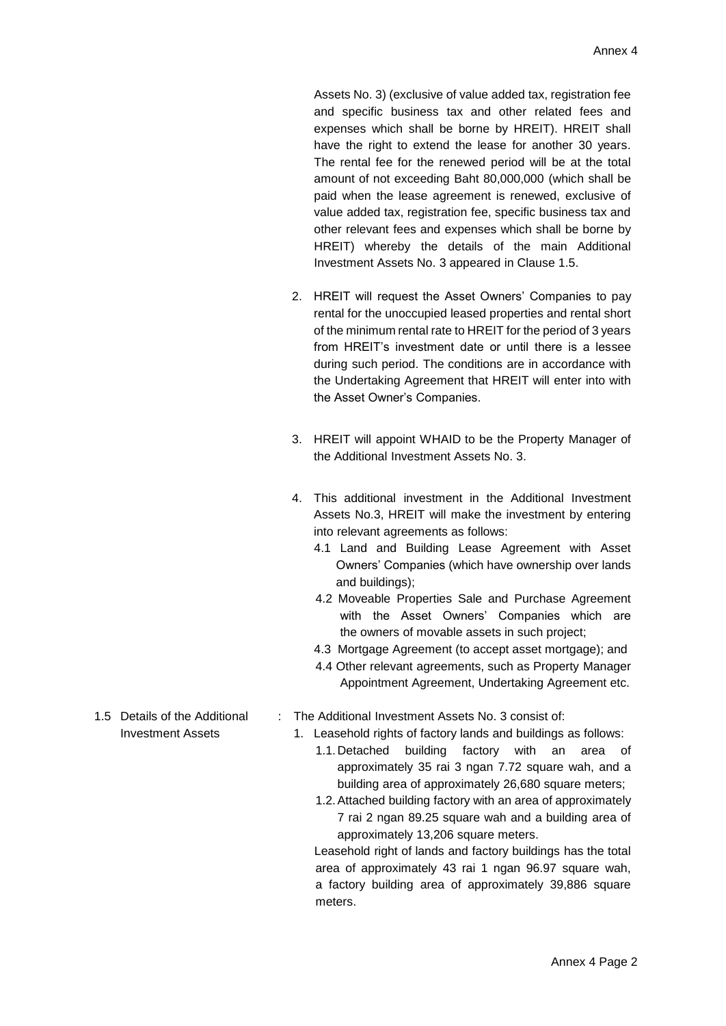Assets No. 3) (exclusive of value added tax, registration fee and specific business tax and other related fees and expenses which shall be borne by HREIT). HREIT shall have the right to extend the lease for another 30 years. The rental fee for the renewed period will be at the total amount of not exceeding Baht 80,000,000 (which shall be paid when the lease agreement is renewed, exclusive of value added tax, registration fee, specific business tax and other relevant fees and expenses which shall be borne by HREIT) whereby the details of the main Additional Investment Assets No. 3 appeared in Clause 1.5.

- 2. HREIT will request the Asset Owners' Companies to pay rental for the unoccupied leased properties and rental short of the minimum rental rate to HREIT for the period of 3 years from HREIT's investment date or until there is a lessee during such period. The conditions are in accordance with the Undertaking Agreement that HREIT will enter into with the Asset Owner's Companies.
- 3. HREIT will appoint WHAID to be the Property Manager of the Additional Investment Assets No. 3.
- 4. This additional investment in the Additional Investment Assets No.3, HREIT will make the investment by entering into relevant agreements as follows:
	- 4.1 Land and Building Lease Agreement with Asset Owners' Companies (which have ownership over lands and buildings);
	- 4.2 Moveable Properties Sale and Purchase Agreement with the Asset Owners' Companies which are the owners of movable assets in such project;
	- 4.3 Mortgage Agreement (to accept asset mortgage); and
	- 4.4 Other relevant agreements, such as Property Manager Appointment Agreement, Undertaking Agreement etc.
- : The Additional Investment Assets No. 3 consist of:
	- 1. Leasehold rights of factory lands and buildings as follows:
		- 1.1. Detached building factory with an area of approximately 35 rai 3 ngan 7.72 square wah, and a building area of approximately 26,680 square meters;
		- 1.2.Attached building factory with an area of approximately 7 rai 2 ngan 89.25 square wah and a building area of approximately 13,206 square meters.

Leasehold right of lands and factory buildings has the total area of approximately 43 rai 1 ngan 96.97 square wah, a factory building area of approximately 39,886 square meters.

1.5 Details of the Additional Investment Assets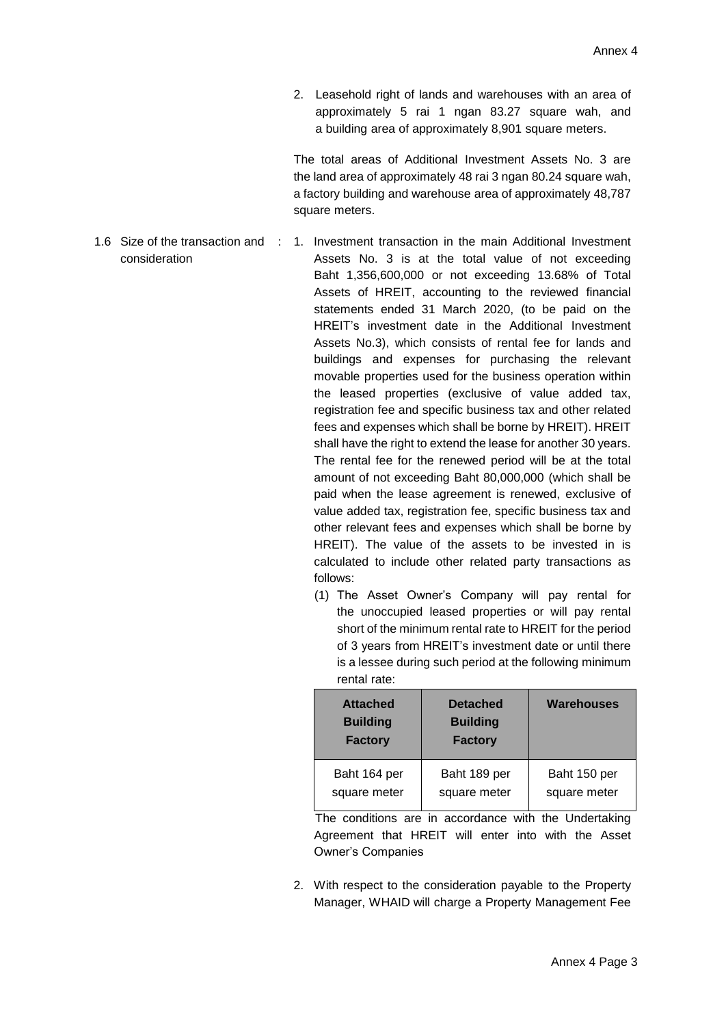2. Leasehold right of lands and warehouses with an area of approximately 5 rai 1 ngan 83.27 square wah, and a building area of approximately 8,901 square meters.

The total areas of Additional Investment Assets No. 3 are the land area of approximately 48 rai 3 ngan 80.24 square wah, a factory building and warehouse area of approximately 48,787 square meters.

- 1.6 Size of the transaction and : 1. Investment transaction in the main Additional Investment consideration Assets No. 3 is at the total value of not exceeding Baht 1,356,600,000 or not exceeding 13.68% of Total Assets of HREIT, accounting to the reviewed financial statements ended 31 March 2020, (to be paid on the HREIT's investment date in the Additional Investment Assets No.3), which consists of rental fee for lands and buildings and expenses for purchasing the relevant movable properties used for the business operation within the leased properties (exclusive of value added tax, registration fee and specific business tax and other related fees and expenses which shall be borne by HREIT). HREIT shall have the right to extend the lease for another 30 years. The rental fee for the renewed period will be at the total amount of not exceeding Baht 80,000,000 (which shall be paid when the lease agreement is renewed, exclusive of value added tax, registration fee, specific business tax and other relevant fees and expenses which shall be borne by HREIT). The value of the assets to be invested in is calculated to include other related party transactions as follows:
	- (1) The Asset Owner's Company will pay rental for the unoccupied leased properties or will pay rental short of the minimum rental rate to HREIT for the period of 3 years from HREIT's investment date or until there is a lessee during such period at the following minimum rental rate:

| <b>Attached</b><br><b>Building</b><br><b>Factory</b> | <b>Detached</b><br><b>Building</b><br><b>Factory</b> | Warehouses   |
|------------------------------------------------------|------------------------------------------------------|--------------|
| Baht 164 per                                         | Baht 189 per                                         | Baht 150 per |
| square meter                                         | square meter                                         | square meter |

The conditions are in accordance with the Undertaking Agreement that HREIT will enter into with the Asset Owner's Companies

2. With respect to the consideration payable to the Property Manager, WHAID will charge a Property Management Fee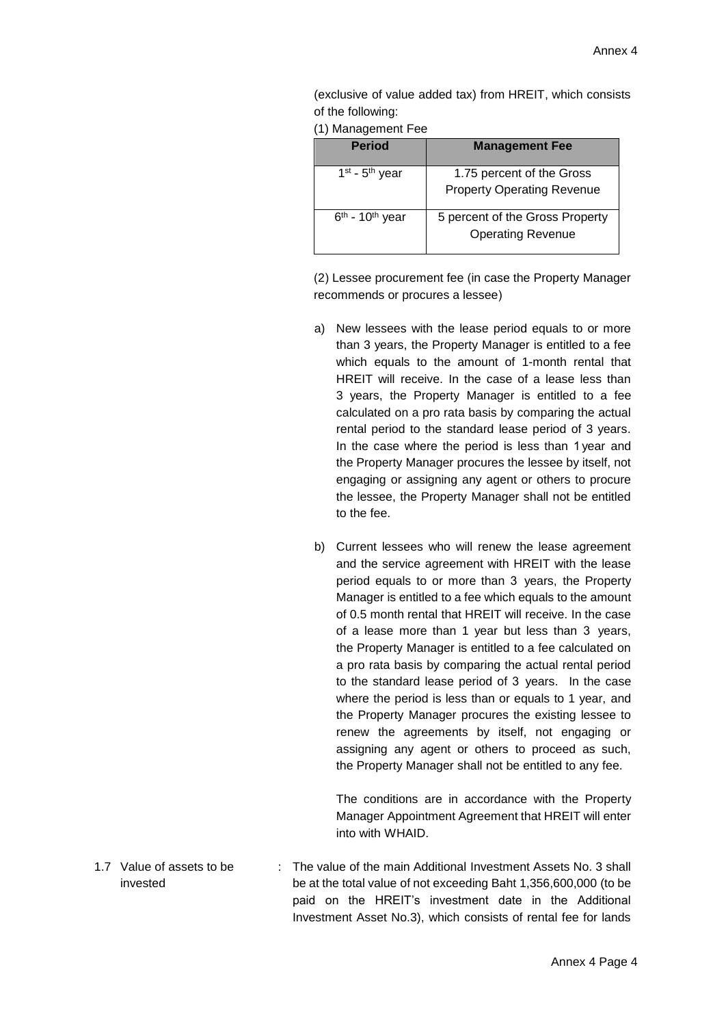(exclusive of value added tax) from HREIT, which consists of the following:

(1) Management Fee

| <b>Period</b>                 | <b>Management Fee</b>             |
|-------------------------------|-----------------------------------|
| $1st$ - $5th$ year            | 1.75 percent of the Gross         |
|                               | <b>Property Operating Revenue</b> |
| $6th$ - 10 <sup>th</sup> year | 5 percent of the Gross Property   |
|                               | <b>Operating Revenue</b>          |

(2) Lessee procurement fee (in case the Property Manager recommends or procures a lessee)

- a) New lessees with the lease period equals to or more than 3 years, the Property Manager is entitled to a fee which equals to the amount of 1-month rental that HREIT will receive. In the case of a lease less than 3 years, the Property Manager is entitled to a fee calculated on a pro rata basis by comparing the actual rental period to the standard lease period of 3 years. In the case where the period is less than 1 year and the Property Manager procures the lessee by itself, not engaging or assigning any agent or others to procure the lessee, the Property Manager shall not be entitled to the fee.
- b) Current lessees who will renew the lease agreement and the service agreement with HREIT with the lease period equals to or more than 3 years, the Property Manager is entitled to a fee which equals to the amount of 0.5 month rental that HREIT will receive. In the case of a lease more than 1 year but less than 3 years, the Property Manager is entitled to a fee calculated on a pro rata basis by comparing the actual rental period to the standard lease period of 3 years. In the case where the period is less than or equals to 1 year, and the Property Manager procures the existing lessee to renew the agreements by itself, not engaging or assigning any agent or others to proceed as such, the Property Manager shall not be entitled to any fee.

The conditions are in accordance with the Property Manager Appointment Agreement that HREIT will enter into with WHAID.

1.7 Value of assets to be invested : The value of the main Additional Investment Assets No. 3 shall be at the total value of not exceeding Baht 1,356,600,000 (to be paid on the HREIT's investment date in the Additional Investment Asset No.3), which consists of rental fee for lands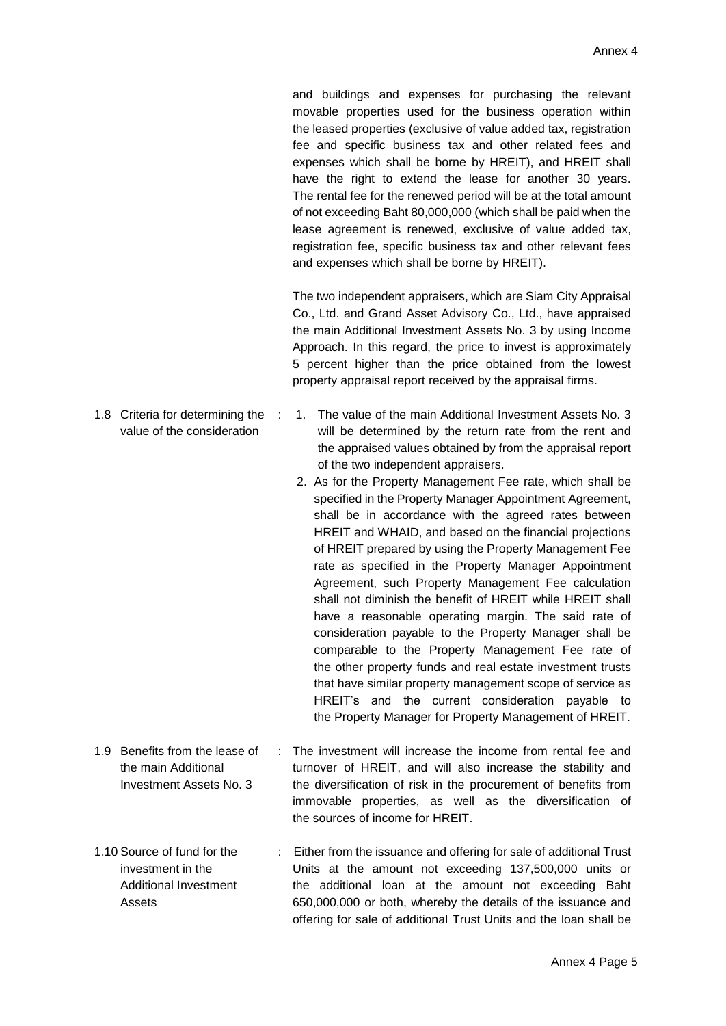and buildings and expenses for purchasing the relevant movable properties used for the business operation within the leased properties (exclusive of value added tax, registration fee and specific business tax and other related fees and expenses which shall be borne by HREIT), and HREIT shall have the right to extend the lease for another 30 years. The rental fee for the renewed period will be at the total amount of not exceeding Baht 80,000,000 (which shall be paid when the lease agreement is renewed, exclusive of value added tax, registration fee, specific business tax and other relevant fees and expenses which shall be borne by HREIT).

The two independent appraisers, which are Siam City Appraisal Co., Ltd. and Grand Asset Advisory Co., Ltd., have appraised the main Additional Investment Assets No. 3 by using Income Approach. In this regard, the price to invest is approximately 5 percent higher than the price obtained from the lowest property appraisal report received by the appraisal firms.

- : 1. The value of the main Additional Investment Assets No. 3 will be determined by the return rate from the rent and the appraised values obtained by from the appraisal report of the two independent appraisers.
- 2. As for the Property Management Fee rate, which shall be specified in the Property Manager Appointment Agreement, shall be in accordance with the agreed rates between HREIT and WHAID, and based on the financial projections of HREIT prepared by using the Property Management Fee rate as specified in the Property Manager Appointment Agreement, such Property Management Fee calculation shall not diminish the benefit of HREIT while HREIT shall have a reasonable operating margin. The said rate of consideration payable to the Property Manager shall be comparable to the Property Management Fee rate of the other property funds and real estate investment trusts that have similar property management scope of service as HREIT's and the current consideration payable to the Property Manager for Property Management of HREIT.
- 1.9 Benefits from the lease of the main Additional Investment Assets No. 3 : The investment will increase the income from rental fee and turnover of HREIT, and will also increase the stability and the diversification of risk in the procurement of benefits from immovable properties, as well as the diversification of the sources of income for HREIT.
- 1.10 Source of fund for the investment in the Additional Investment Assets : Either from the issuance and offering for sale of additional Trust Units at the amount not exceeding 137,500,000 units or the additional loan at the amount not exceeding Baht 650,000,000 or both, whereby the details of the issuance and offering for sale of additional Trust Units and the loan shall be

1.8 Criteria for determining the value of the consideration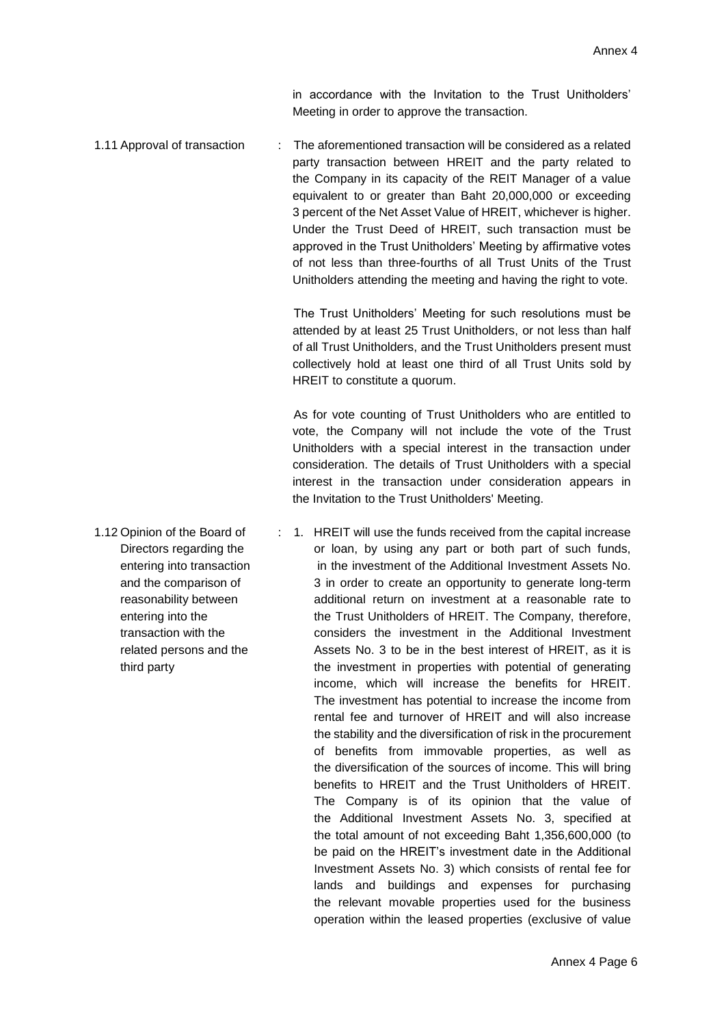in accordance with the Invitation to the Trust Unitholders' Meeting in order to approve the transaction.

1.11 Approval of transaction : The aforementioned transaction will be considered as a related party transaction between HREIT and the party related to the Company in its capacity of the REIT Manager of a value equivalent to or greater than Baht 20,000,000 or exceeding 3 percent of the Net Asset Value of HREIT, whichever is higher. Under the Trust Deed of HREIT, such transaction must be approved in the Trust Unitholders' Meeting by affirmative votes of not less than three-fourths of all Trust Units of the Trust Unitholders attending the meeting and having the right to vote.

> The Trust Unitholders' Meeting for such resolutions must be attended by at least 25 Trust Unitholders, or not less than half of all Trust Unitholders, and the Trust Unitholders present must collectively hold at least one third of all Trust Units sold by HREIT to constitute a quorum.

> As for vote counting of Trust Unitholders who are entitled to vote, the Company will not include the vote of the Trust Unitholders with a special interest in the transaction under consideration. The details of Trust Unitholders with a special interest in the transaction under consideration appears in the Invitation to the Trust Unitholders' Meeting.

operation within the leased properties (exclusive of value

- Directors regarding the entering into transaction and the comparison of reasonability between entering into the transaction with the related persons and the third party : 1. HREIT will use the funds received from the capital increase or loan, by using any part or both part of such funds, in the investment of the Additional Investment Assets No. 3 in order to create an opportunity to generate long-term additional return on investment at a reasonable rate to the Trust Unitholders of HREIT. The Company, therefore, considers the investment in the Additional Investment Assets No. 3 to be in the best interest of HREIT, as it is the investment in properties with potential of generating income, which will increase the benefits for HREIT. The investment has potential to increase the income from rental fee and turnover of HREIT and will also increase the stability and the diversification of risk in the procurement of benefits from immovable properties, as well as the diversification of the sources of income. This will bring benefits to HREIT and the Trust Unitholders of HREIT. The Company is of its opinion that the value of the Additional Investment Assets No. 3, specified at the total amount of not exceeding Baht 1,356,600,000 (to be paid on the HREIT's investment date in the Additional Investment Assets No. 3) which consists of rental fee for lands and buildings and expenses for purchasing the relevant movable properties used for the business
- 1.12 Opinion of the Board of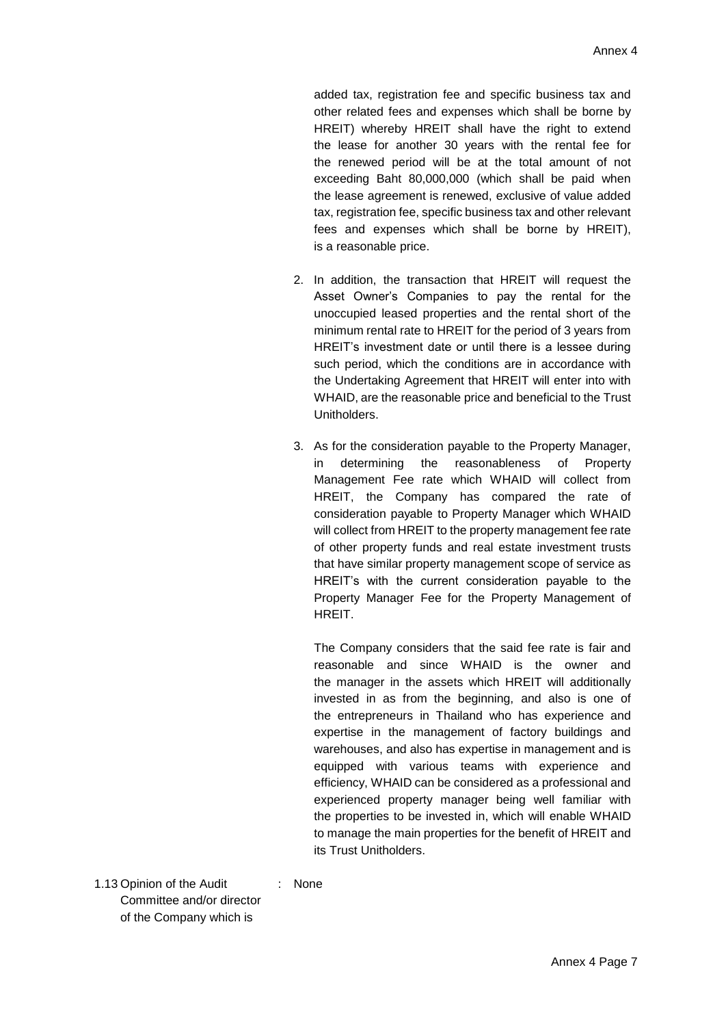added tax, registration fee and specific business tax and other related fees and expenses which shall be borne by HREIT) whereby HREIT shall have the right to extend the lease for another 30 years with the rental fee for the renewed period will be at the total amount of not exceeding Baht 80,000,000 (which shall be paid when the lease agreement is renewed, exclusive of value added tax, registration fee, specific business tax and other relevant fees and expenses which shall be borne by HREIT), is a reasonable price.

- 2. In addition, the transaction that HREIT will request the Asset Owner's Companies to pay the rental for the unoccupied leased properties and the rental short of the minimum rental rate to HREIT for the period of 3 years from HREIT's investment date or until there is a lessee during such period, which the conditions are in accordance with the Undertaking Agreement that HREIT will enter into with WHAID, are the reasonable price and beneficial to the Trust Unitholders.
- 3. As for the consideration payable to the Property Manager, in determining the reasonableness of Property Management Fee rate which WHAID will collect from HREIT, the Company has compared the rate of consideration payable to Property Manager which WHAID will collect from HREIT to the property management fee rate of other property funds and real estate investment trusts that have similar property management scope of service as HREIT's with the current consideration payable to the Property Manager Fee for the Property Management of HREIT.

The Company considers that the said fee rate is fair and reasonable and since WHAID is the owner and the manager in the assets which HREIT will additionally invested in as from the beginning, and also is one of the entrepreneurs in Thailand who has experience and expertise in the management of factory buildings and warehouses, and also has expertise in management and is equipped with various teams with experience and efficiency, WHAID can be considered as a professional and experienced property manager being well familiar with the properties to be invested in, which will enable WHAID to manage the main properties for the benefit of HREIT and its Trust Unitholders.

1.13 Opinion of the Audit Committee and/or director of the Company which is

: None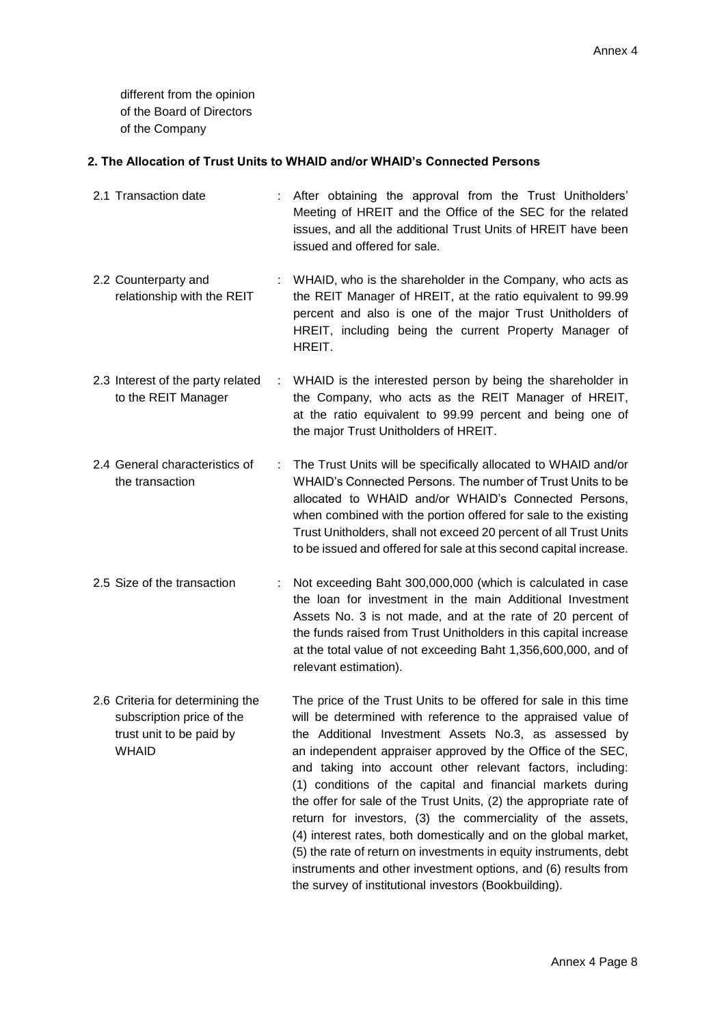different from the opinion of the Board of Directors of the Company

#### **2. The Allocation of Trust Units to WHAID and/or WHAID's Connected Persons**

- 2.1 Transaction date : After obtaining the approval from the Trust Unitholders' Meeting of HREIT and the Office of the SEC for the related issues, and all the additional Trust Units of HREIT have been issued and offered for sale. 2.2 Counterparty and relationship with the REIT : WHAID, who is the shareholder in the Company, who acts as the REIT Manager of HREIT, at the ratio equivalent to 99.99 percent and also is one of the major Trust Unitholders of HREIT, including being the current Property Manager of HREIT. 2.3 Interest of the party related to the REIT Manager : WHAID is the interested person by being the shareholder in the Company, who acts as the REIT Manager of HREIT, at the ratio equivalent to 99.99 percent and being one of the major Trust Unitholders of HREIT. 2.4 General characteristics of the transaction : The Trust Units will be specifically allocated to WHAID and/or WHAID's Connected Persons. The number of Trust Units to be allocated to WHAID and/or WHAID's Connected Persons, when combined with the portion offered for sale to the existing Trust Unitholders, shall not exceed 20 percent of all Trust Units to be issued and offered for sale at this second capital increase. 2.5 Size of the transaction : Not exceeding Baht 300,000,000 (which is calculated in case the loan for investment in the main Additional Investment Assets No. 3 is not made, and at the rate of 20 percent of the funds raised from Trust Unitholders in this capital increase at the total value of not exceeding Baht 1,356,600,000, and of relevant estimation). 2.6 Criteria for determining the subscription price of the trust unit to be paid by WHAID The price of the Trust Units to be offered for sale in this time will be determined with reference to the appraised value of the Additional Investment Assets No.3, as assessed by an independent appraiser approved by the Office of the SEC, and taking into account other relevant factors, including: (1) conditions of the capital and financial markets during the offer for sale of the Trust Units, (2) the appropriate rate of return for investors, (3) the commerciality of the assets,
	- (4) interest rates, both domestically and on the global market, (5) the rate of return on investments in equity instruments, debt instruments and other investment options, and (6) results from the survey of institutional investors (Bookbuilding).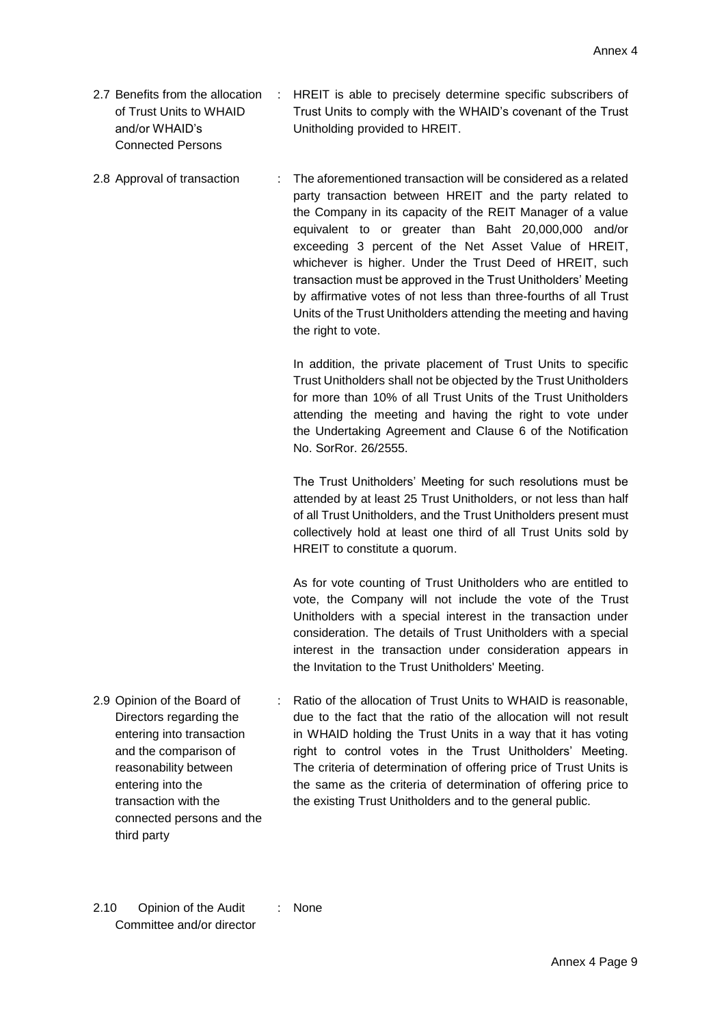- 2.7 Benefits from the allocation of Trust Units to WHAID and/or WHAID's Connected Persons : HREIT is able to precisely determine specific subscribers of Trust Units to comply with the WHAID's covenant of the Trust Unitholding provided to HREIT.
- 2.8 Approval of transaction : The aforementioned transaction will be considered as a related party transaction between HREIT and the party related to the Company in its capacity of the REIT Manager of a value equivalent to or greater than Baht 20,000,000 and/or exceeding 3 percent of the Net Asset Value of HREIT, whichever is higher. Under the Trust Deed of HREIT, such transaction must be approved in the Trust Unitholders' Meeting by affirmative votes of not less than three-fourths of all Trust Units of the Trust Unitholders attending the meeting and having the right to vote.

In addition, the private placement of Trust Units to specific Trust Unitholders shall not be objected by the Trust Unitholders for more than 10% of all Trust Units of the Trust Unitholders attending the meeting and having the right to vote under the Undertaking Agreement and Clause 6 of the Notification No. SorRor. 26/2555.

The Trust Unitholders' Meeting for such resolutions must be attended by at least 25 Trust Unitholders, or not less than half of all Trust Unitholders, and the Trust Unitholders present must collectively hold at least one third of all Trust Units sold by HREIT to constitute a quorum.

As for vote counting of Trust Unitholders who are entitled to vote, the Company will not include the vote of the Trust Unitholders with a special interest in the transaction under consideration. The details of Trust Unitholders with a special interest in the transaction under consideration appears in the Invitation to the Trust Unitholders' Meeting.

- 2.9 Opinion of the Board of Directors regarding the entering into transaction and the comparison of reasonability between entering into the transaction with the connected persons and the : Ratio of the allocation of Trust Units to WHAID is reasonable, due to the fact that the ratio of the allocation will not result in WHAID holding the Trust Units in a way that it has voting right to control votes in the Trust Unitholders' Meeting. The criteria of determination of offering price of Trust Units is the same as the criteria of determination of offering price to the existing Trust Unitholders and to the general public.
- 2.10 Opinion of the Audit Committee and/or director : None

third party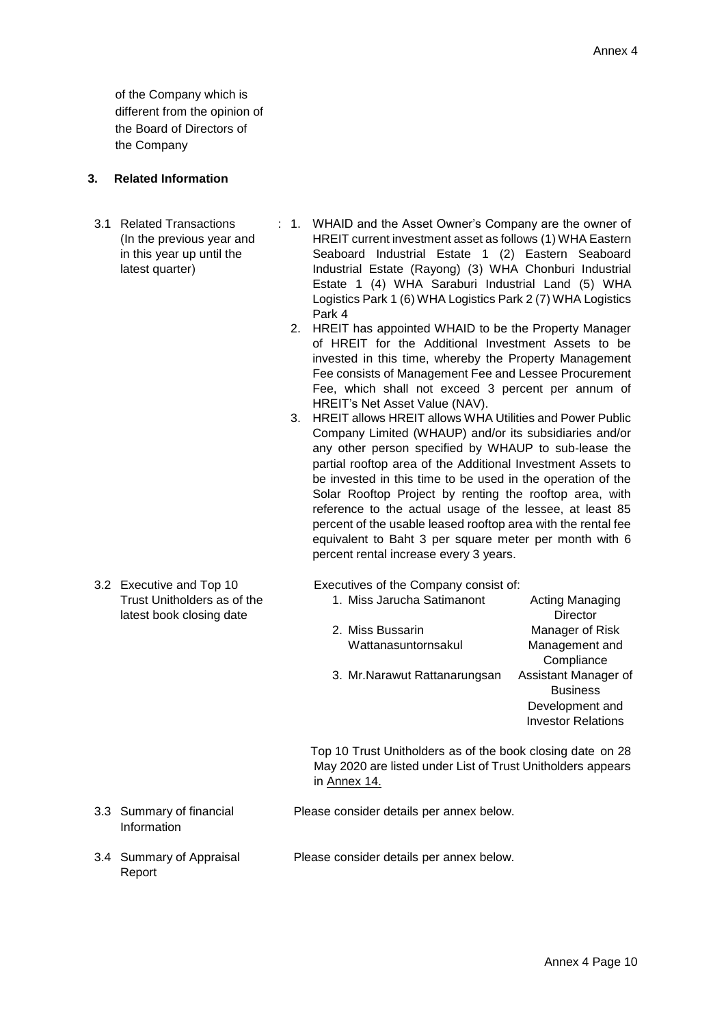of the Company which is different from the opinion of the Board of Directors of the Company

### **3. Related Information**

- 3.1 Related Transactions (In the previous year and in this year up until the latest quarter)
- : 1. WHAID and the Asset Owner's Company are the owner of HREIT current investment asset as follows (1) WHA Eastern Seaboard Industrial Estate 1 (2) Eastern Seaboard Industrial Estate (Rayong) (3) WHA Chonburi Industrial Estate 1 (4) WHA Saraburi Industrial Land (5) WHA Logistics Park 1 (6) WHA Logistics Park 2 (7) WHA Logistics Park 4
	- 2. HREIT has appointed WHAID to be the Property Manager of HREIT for the Additional Investment Assets to be invested in this time, whereby the Property Management Fee consists of Management Fee and Lessee Procurement Fee, which shall not exceed 3 percent per annum of HREIT's Net Asset Value (NAV).
	- 3. HREIT allows HREIT allows WHA Utilities and Power Public Company Limited (WHAUP) and/or its subsidiaries and/or any other person specified by WHAUP to sub-lease the partial rooftop area of the Additional Investment Assets to be invested in this time to be used in the operation of the Solar Rooftop Project by renting the rooftop area, with reference to the actual usage of the lessee, at least 85 percent of the usable leased rooftop area with the rental fee equivalent to Baht 3 per square meter per month with 6 percent rental increase every 3 years.
- 3.2 Executive and Top 10 Trust Unitholders as of the latest book closing date

Executives of the Company consist of:

1. Miss [Jarucha](https://www.bloomberg.com/profiles/people/20139065-paopitaaya-smutrakalin) Satimanont Acting Managing **Director** 2. Miss Bussarin Wattanasuntornsakul Manager of Risk Management and **Compliance** 3. Mr.Narawut Rattanarungsan Assistant Manager of **Business** Development and Investor Relations

 Top 10 Trust Unitholders as of the book closing date on 28 May 2020 are listed under List of Trust Unitholders appears in Annex 14.

- Please consider details per annex below.
- 3.4 Summary of Appraisal Report

3.3 Summary of financial Information

Please consider details per annex below.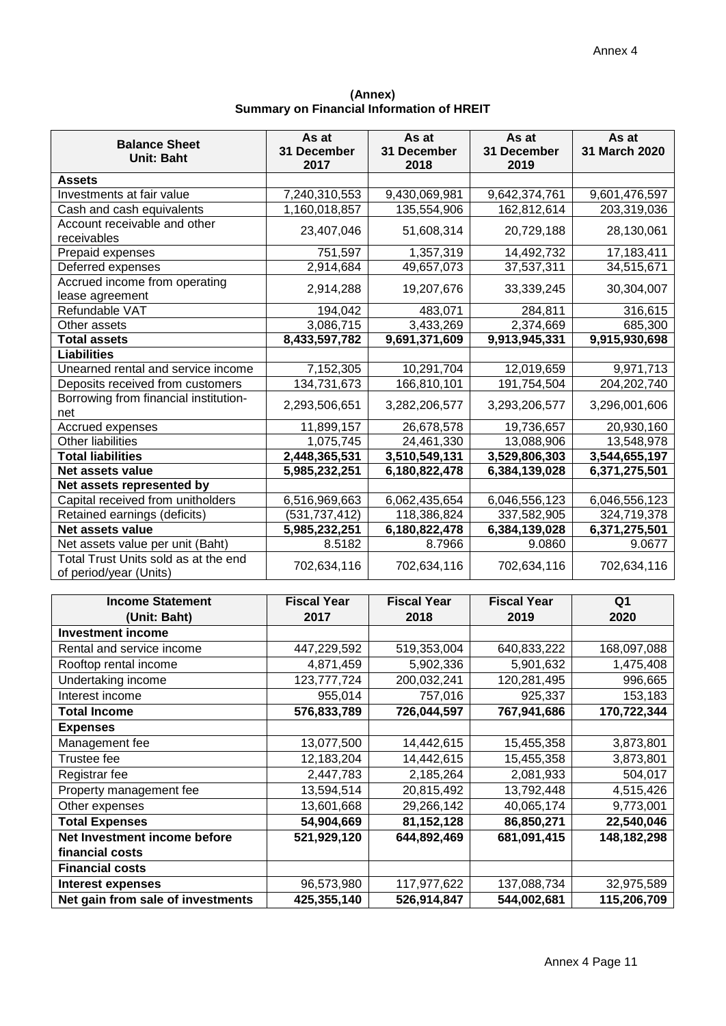**(Annex) Summary on Financial Information of HREIT**

| <b>Balance Sheet</b><br><b>Unit: Baht</b>                      | As at<br>31 December<br>2017 | As at<br>31 December<br>2018   | As at<br>31 December<br>2019 | As at<br>31 March 2020 |
|----------------------------------------------------------------|------------------------------|--------------------------------|------------------------------|------------------------|
| <b>Assets</b>                                                  |                              |                                |                              |                        |
| Investments at fair value                                      | 7,240,310,553                | 9,430,069,981<br>9,642,374,761 |                              | 9,601,476,597          |
| Cash and cash equivalents                                      | 1,160,018,857                | 135,554,906                    | 162,812,614                  | 203,319,036            |
| Account receivable and other<br>receivables                    | 23,407,046<br>51,608,314     |                                | 20,729,188                   | 28,130,061             |
| Prepaid expenses                                               | 751,597                      | 1,357,319                      | 14,492,732                   |                        |
| Deferred expenses                                              | 2,914,684                    | 49,657,073                     | 37,537,311                   | 34,515,671             |
| Accrued income from operating<br>lease agreement               | 2,914,288                    | 19,207,676                     | 33,339,245                   | 30,304,007             |
| Refundable VAT                                                 | 194,042                      | 483,071                        | 284,811                      | 316,615                |
| Other assets                                                   | 3,086,715                    | 3,433,269                      | 2,374,669                    | 685,300                |
| <b>Total assets</b>                                            | 8,433,597,782                | 9,691,371,609                  | 9,913,945,331                | 9,915,930,698          |
| <b>Liabilities</b>                                             |                              |                                |                              |                        |
| Unearned rental and service income                             | 7,152,305                    | 10,291,704                     | 12,019,659                   | 9,971,713              |
| Deposits received from customers                               | 134,731,673                  | 166,810,101                    | 191,754,504                  | 204, 202, 740          |
| Borrowing from financial institution-<br>net                   | 2,293,506,651                | 3,282,206,577                  | 3,293,206,577                | 3,296,001,606          |
| Accrued expenses                                               | 11,899,157                   | 26,678,578                     | 19,736,657                   | 20,930,160             |
| <b>Other liabilities</b>                                       | 1,075,745                    | 24,461,330                     | 13,088,906                   | 13,548,978             |
| <b>Total liabilities</b>                                       | 2,448,365,531                | 3,510,549,131                  | 3,529,806,303                | 3,544,655,197          |
| Net assets value                                               | 5,985,232,251                | 6,180,822,478                  | 6,384,139,028                | 6,371,275,501          |
| Net assets represented by                                      |                              |                                |                              |                        |
| Capital received from unitholders                              | 6,516,969,663                | 6,062,435,654                  | 6,046,556,123                | 6,046,556,123          |
| Retained earnings (deficits)                                   | (531,737,412)                | 118,386,824                    | 337,582,905                  | 324,719,378            |
| Net assets value                                               | 5,985,232,251                | 6,180,822,478                  | 6,384,139,028                | 6,371,275,501          |
| Net assets value per unit (Baht)                               | 8.5182                       | 8.7966                         | 9.0860                       | 9.0677                 |
| Total Trust Units sold as at the end<br>of period/year (Units) | 702,634,116                  | 702,634,116                    | 702,634,116                  | 702,634,116            |

| <b>Income Statement</b>           | <b>Fiscal Year</b> | <b>Fiscal Year</b>         |             | Q <sub>1</sub> |
|-----------------------------------|--------------------|----------------------------|-------------|----------------|
| (Unit: Baht)                      | 2017               | 2018                       | 2019        | 2020           |
| <b>Investment income</b>          |                    |                            |             |                |
| Rental and service income         | 447,229,592        | 640,833,222<br>519,353,004 |             | 168,097,088    |
| Rooftop rental income             | 4,871,459          | 5,902,336                  | 5,901,632   | 1,475,408      |
| Undertaking income                | 123,777,724        | 200,032,241                | 120,281,495 | 996,665        |
| Interest income                   | 955,014            | 757,016                    | 925,337     | 153,183        |
| <b>Total Income</b>               | 576,833,789        | 726,044,597                | 767,941,686 | 170,722,344    |
| <b>Expenses</b>                   |                    |                            |             |                |
| Management fee                    | 13,077,500         | 14,442,615                 | 15,455,358  | 3,873,801      |
| Trustee fee                       | 12,183,204         | 14,442,615                 | 15,455,358  | 3,873,801      |
| Registrar fee                     | 2,447,783          | 2,185,264                  | 2,081,933   | 504,017        |
| Property management fee           | 13,594,514         | 20,815,492                 | 13,792,448  | 4,515,426      |
| Other expenses                    | 13,601,668         | 29,266,142                 | 40,065,174  | 9,773,001      |
| <b>Total Expenses</b>             | 54,904,669         | 81, 152, 128               | 86,850,271  | 22,540,046     |
| Net Investment income before      | 521,929,120        | 644,892,469                | 681,091,415 | 148,182,298    |
| financial costs                   |                    |                            |             |                |
| <b>Financial costs</b>            |                    |                            |             |                |
| <b>Interest expenses</b>          | 96,573,980         | 117,977,622                | 137,088,734 | 32,975,589     |
| Net gain from sale of investments | 425,355,140        | 526,914,847                | 544,002,681 | 115,206,709    |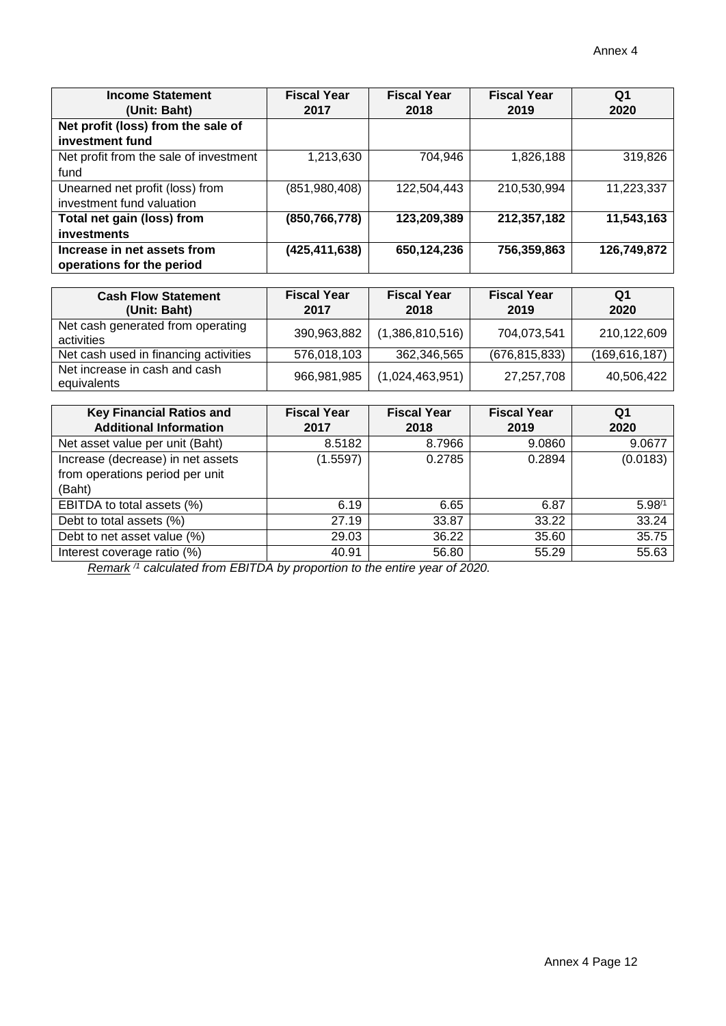| <b>Income Statement</b>                | <b>Fiscal Year</b> | <b>Fiscal Year</b> | <b>Fiscal Year</b> | Q <sub>1</sub> |
|----------------------------------------|--------------------|--------------------|--------------------|----------------|
| (Unit: Baht)                           | 2017               | 2018               | 2019               | 2020           |
| Net profit (loss) from the sale of     |                    |                    |                    |                |
| investment fund                        |                    |                    |                    |                |
| Net profit from the sale of investment | 1,213,630          | 704,946            | 1,826,188          | 319,826        |
| fund                                   |                    |                    |                    |                |
| Unearned net profit (loss) from        | (851, 980, 408)    | 122,504,443        | 210,530,994        | 11,223,337     |
| investment fund valuation              |                    |                    |                    |                |
| Total net gain (loss) from             | (850,766,778)      | 123,209,389        | 212,357,182        | 11,543,163     |
| investments                            |                    |                    |                    |                |
| Increase in net assets from            | (425,411,638)      | 650,124,236        | 756,359,863        | 126,749,872    |
| operations for the period              |                    |                    |                    |                |

| <b>Cash Flow Statement</b><br>(Unit: Baht)      | <b>Fiscal Year</b><br>2017 | <b>Fiscal Year</b><br>2018 | <b>Fiscal Year</b><br>2019 | Q1<br>2020      |
|-------------------------------------------------|----------------------------|----------------------------|----------------------------|-----------------|
| Net cash generated from operating<br>activities | 390,963,882                | (1,386,810,516)            | 704,073,541                | 210,122,609     |
| Net cash used in financing activities           | 576,018,103                | 362,346,565                | (676, 815, 833)            | (169, 616, 187) |
| Net increase in cash and cash<br>equivalents    | 966,981,985                | (1,024,463,951)            | 27,257,708                 | 40,506,422      |

| <b>Key Financial Ratios and</b>   | <b>Fiscal Year</b> | <b>Fiscal Year</b> | <b>Fiscal Year</b> | Q1         |
|-----------------------------------|--------------------|--------------------|--------------------|------------|
| <b>Additional Information</b>     | 2017               | 2018               | 2019               | 2020       |
| Net asset value per unit (Baht)   | 8.5182             | 8.7966             | 9.0860             | 9.0677     |
| Increase (decrease) in net assets | (1.5597)           | 0.2785             | 0.2894             | (0.0183)   |
| from operations period per unit   |                    |                    |                    |            |
| (Baht)                            |                    |                    |                    |            |
| EBITDA to total assets (%)        | 6.19               | 6.65               | 6.87               | $5.98^{1}$ |
| Debt to total assets (%)          | 27.19              | 33.87              | 33.22              | 33.24      |
| Debt to net asset value (%)       | 29.03              | 36.22              | 35.60              | 35.75      |
| Interest coverage ratio (%)       | 40.91              | 56.80              | 55.29              | 55.63      |

*Remark /1 calculated from EBITDA by proportion to the entire year of 2020.*